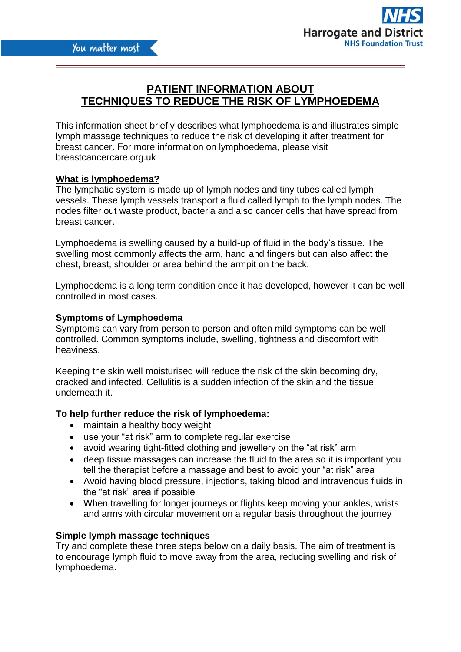# **PATIENT INFORMATION ABOUT TECHNIQUES TO REDUCE THE RISK OF LYMPHOEDEMA**

This information sheet briefly describes what lymphoedema is and illustrates simple lymph massage techniques to reduce the risk of developing it after treatment for breast cancer. For more information on lymphoedema, please visit breastcancercare.org.uk

# **What is lymphoedema?**

The lymphatic system is made up of lymph nodes and tiny tubes called lymph vessels. These lymph vessels transport a fluid called lymph to the lymph nodes. The nodes filter out waste product, bacteria and also cancer cells that have spread from breast cancer.

Lymphoedema is swelling caused by a build-up of fluid in the body's tissue. The swelling most commonly affects the arm, hand and fingers but can also affect the chest, breast, shoulder or area behind the armpit on the back.

Lymphoedema is a long term condition once it has developed, however it can be well controlled in most cases.

## **Symptoms of Lymphoedema**

Symptoms can vary from person to person and often mild symptoms can be well controlled. Common symptoms include, swelling, tightness and discomfort with heaviness.

Keeping the skin well moisturised will reduce the risk of the skin becoming dry, cracked and infected. Cellulitis is a sudden infection of the skin and the tissue underneath it.

## **To help further reduce the risk of lymphoedema:**

- maintain a healthy body weight
- use your "at risk" arm to complete regular exercise
- avoid wearing tight-fitted clothing and jewellery on the "at risk" arm
- deep tissue massages can increase the fluid to the area so it is important you tell the therapist before a massage and best to avoid your "at risk" area
- Avoid having blood pressure, injections, taking blood and intravenous fluids in the "at risk" area if possible
- When travelling for longer journeys or flights keep moving your ankles, wrists and arms with circular movement on a regular basis throughout the journey

## **Simple lymph massage techniques**

Try and complete these three steps below on a daily basis. The aim of treatment is to encourage lymph fluid to move away from the area, reducing swelling and risk of lymphoedema.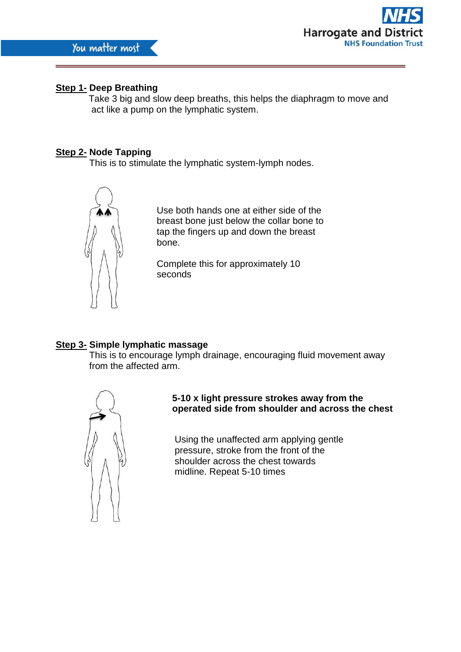

# **Step 1- Deep Breathing**

 Take 3 big and slow deep breaths, this helps the diaphragm to move and act like a pump on the lymphatic system.

#### **Step 2- Node Tapping**

This is to stimulate the lymphatic system-lymph nodes.



Use both hands one at either side of the breast bone just below the collar bone to tap the fingers up and down the breast bone.

Complete this for approximately 10 seconds

## **Step 3- Simple lymphatic massage**

This is to encourage lymph drainage, encouraging fluid movement away from the affected arm.



 **5-10 x light pressure strokes away from the operated side from shoulder and across the chest**

Using the unaffected arm applying gentle pressure, stroke from the front of the shoulder across the chest towards midline. Repeat 5-10 times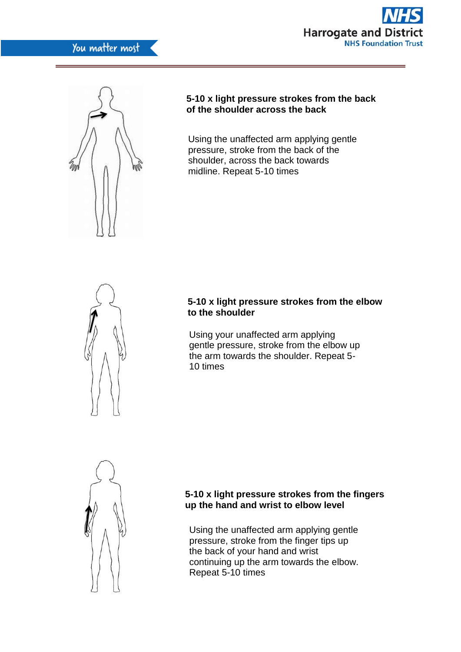



# **5-10 x light pressure strokes from the back of the shoulder across the back**

Using the unaffected arm applying gentle pressure, stroke from the back of the shoulder, across the back towards midline. Repeat 5-10 times



## **5-10 x light pressure strokes from the elbow to the shoulder**

Using your unaffected arm applying gentle pressure, stroke from the elbow up the arm towards the shoulder. Repeat 5- 10 times



## **5-10 x light pressure strokes from the fingers up the hand and wrist to elbow level**

Using the unaffected arm applying gentle pressure, stroke from the finger tips up the back of your hand and wrist continuing up the arm towards the elbow. Repeat 5-10 times